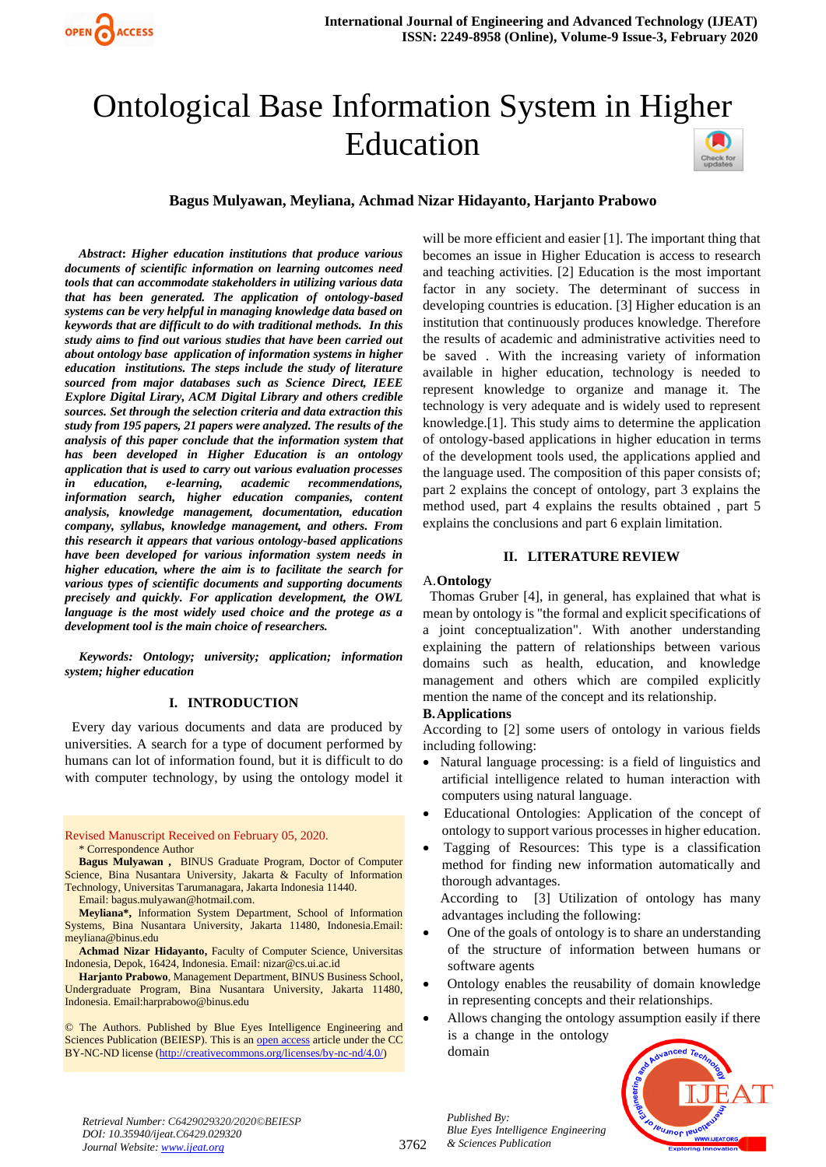

# Ontological Base Information System in Higher Education



#### **Bagus Mulyawan, Meyliana, Achmad Nizar Hidayanto, Harjanto Prabowo**

*Abstract***:** *Higher education institutions that produce various documents of scientific information on learning outcomes need tools that can accommodate stakeholders in utilizing various data that has been generated. The application of ontology-based systems can be very helpful in managing knowledge data based on keywords that are difficult to do with traditional methods. In this study aims to find out various studies that have been carried out about ontology base application of information systems in higher education institutions. The steps include the study of literature sourced from major databases such as Science Direct, IEEE Explore Digital Lirary, ACM Digital Library and others credible sources. Set through the selection criteria and data extraction this study from 195 papers, 21 papers were analyzed. The results of the analysis of this paper conclude that the information system that has been developed in Higher Education is an ontology application that is used to carry out various evaluation processes in education, e-learning, academic recommendations, information search, higher education companies, content analysis, knowledge management, documentation, education company, syllabus, knowledge management, and others. From this research it appears that various ontology-based applications have been developed for various information system needs in higher education, where the aim is to facilitate the search for various types of scientific documents and supporting documents precisely and quickly. For application development, the OWL language is the most widely used choice and the protege as a development tool is the main choice of researchers.*

*Keywords: Ontology; university; application; information system; higher education*

#### **I. INTRODUCTION**

 Every day various documents and data are produced by universities. A search for a type of document performed by humans can lot of information found, but it is difficult to do with computer technology, by using the ontology model it

#### Revised Manuscript Received on February 05, 2020. \* Correspondence Author

**Bagus Mulyawan ,** BINUS Graduate Program, Doctor of Computer Science, Bina Nusantara University, Jakarta & Faculty of Information Technology, Universitas Tarumanagara, Jakarta Indonesia 11440.

Email: bagus.mulyawan@hotmail.com. **Meyliana\*,** Information System Department, School of Information

Systems, Bina Nusantara University, Jakarta 11480, Indonesia.Email: meyliana@binus.edu

**Achmad Nizar Hidayanto,** Faculty of Computer Science, Universitas Indonesia, Depok, 16424, Indonesia. Email: nizar@cs.ui.ac.id

**Harjanto Prabowo**, Management Department, BINUS Business School, Undergraduate Program, Bina Nusantara University, Jakarta 11480, Indonesia. Email:harprabowo@binus.edu

© The Authors. Published by Blue Eyes Intelligence Engineering and Sciences Publication (BEIESP). This is a[n open access](https://www.openaccess.nl/en/open-publications) article under the CC BY-NC-ND license [\(http://creativecommons.org/licenses/by-nc-nd/4.0/\)](http://creativecommons.org/licenses/by-nc-nd/4.0/)

will be more efficient and easier [1]. The important thing that becomes an issue in Higher Education is access to research and teaching activities. [2] Education is the most important factor in any society. The determinant of success in developing countries is education. [3] Higher education is an institution that continuously produces knowledge. Therefore the results of academic and administrative activities need to be saved . With the increasing variety of information available in higher education, technology is needed to represent knowledge to organize and manage it. The technology is very adequate and is widely used to represent knowledge.[1]. This study aims to determine the application of ontology-based applications in higher education in terms of the development tools used, the applications applied and the language used. The composition of this paper consists of; part 2 explains the concept of ontology, part 3 explains the method used, part 4 explains the results obtained , part 5 explains the conclusions and part 6 explain limitation.

#### **II. LITERATURE REVIEW**

#### A.**Ontology**

 Thomas Gruber [4], in general, has explained that what is mean by ontology is "the formal and explicit specifications of a joint conceptualization". With another understanding explaining the pattern of relationships between various domains such as health, education, and knowledge management and others which are compiled explicitly mention the name of the concept and its relationship.

#### **B.Applications**

According to [2] some users of ontology in various fields including following:

- Natural language processing: is a field of linguistics and artificial intelligence related to human interaction with computers using natural language.
- Educational Ontologies: Application of the concept of ontology to support various processes in higher education.
- Tagging of Resources: This type is a classification method for finding new information automatically and thorough advantages.

 According to [3] Utilization of ontology has many advantages including the following:

- One of the goals of ontology is to share an understanding of the structure of information between humans or software agents
- Ontology enables the reusability of domain knowledge in representing concepts and their relationships.
- Allows changing the ontology assumption easily if there is a change in the ontology domain



*Retrieval Number: C6429029320/2020©BEIESP DOI: 10.35940/ijeat.C6429.029320 Journal Website[: www.ijeat.org](http://www.ijeat.org/)*

*Published By: Blue Eyes Intelligence Engineering & Sciences Publication*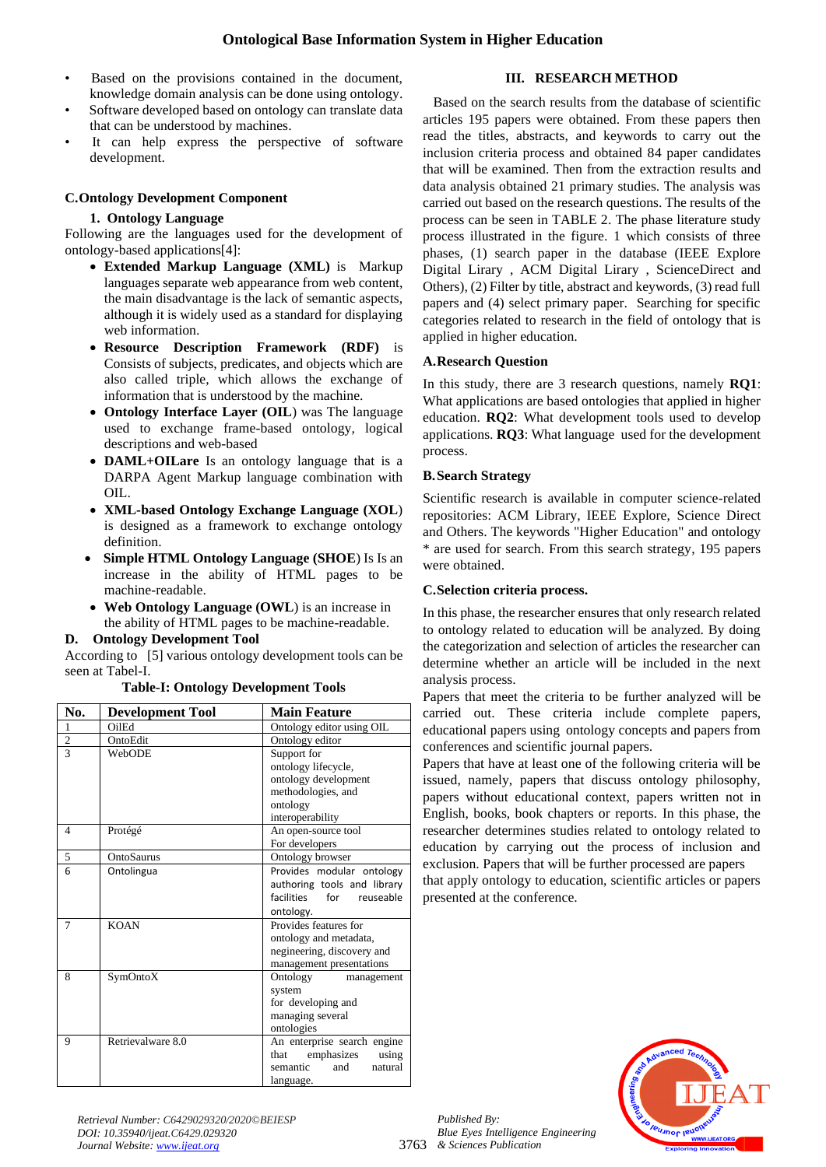- Based on the provisions contained in the document, knowledge domain analysis can be done using ontology.
- Software developed based on ontology can translate data that can be understood by machines.
- It can help express the perspective of software development.

#### **C.Ontology Development Component**

#### **1. Ontology Language**

Following are the languages used for the development of ontology-based applications[4]:

- **Extended Markup Language (XML)** is Markup languages separate web appearance from web content, the main disadvantage is the lack of semantic aspects, although it is widely used as a standard for displaying web information.
- **Resource Description Framework (RDF)** is Consists of subjects, predicates, and objects which are also called triple, which allows the exchange of information that is understood by the machine.
- **Ontology Interface Layer (OIL**) was The language used to exchange frame-based ontology, logical descriptions and web-based
- **DAML+OILare** Is an ontology language that is a DARPA Agent Markup language combination with OIL.
- **XML-based Ontology Exchange Language (XOL**) is designed as a framework to exchange ontology definition.
- • **Simple HTML Ontology Language (SHOE**) Is Is an increase in the ability of HTML pages to be machine-readable.
- **Web Ontology Language (OWL**) is an increase in the ability of HTML pages to be machine-readable.

## **D. Ontology Development Tool**

According to[5] various ontology development tools can be seen at Tabel-I.

| No.            | <b>Development Tool</b> | <b>Main Feature</b>            |
|----------------|-------------------------|--------------------------------|
| $\mathbf{1}$   | <b>OilEd</b>            | Ontology editor using OIL      |
| $\overline{c}$ | OntoEdit                | Ontology editor                |
| $\overline{3}$ | WebODE                  | Support for                    |
|                |                         | ontology lifecycle,            |
|                |                         | ontology development           |
|                |                         | methodologies, and             |
|                |                         | ontology                       |
|                |                         | interoperability               |
| $\overline{4}$ | Protégé                 | An open-source tool            |
|                |                         | For developers                 |
| 5              | OntoSaurus              | Ontology browser               |
| 6              | Ontolingua              | Provides modular ontology      |
|                |                         | authoring tools and library    |
|                |                         | facilities<br>for<br>reuseable |
|                |                         | ontology.                      |
| $\tau$         | <b>KOAN</b>             | Provides features for          |
|                |                         | ontology and metadata,         |
|                |                         | negineering, discovery and     |
|                |                         | management presentations       |
| 8              | SymOntoX                | Ontology<br>management         |
|                |                         | system                         |
|                |                         | for developing and             |
|                |                         | managing several               |
|                |                         | ontologies                     |
| 9              | Retrievalware 8.0       | An enterprise search engine    |
|                |                         | emphasizes<br>that<br>using    |
|                |                         | semantic<br>and<br>natural     |
|                |                         | language.                      |

**Table-I: Ontology Development Tools**

 Based on the search results from the database of scientific articles 195 papers were obtained. From these papers then read the titles, abstracts, and keywords to carry out the inclusion criteria process and obtained 84 paper candidates that will be examined. Then from the extraction results and data analysis obtained 21 primary studies. The analysis was carried out based on the research questions. The results of the process can be seen in TABLE 2. The phase literature study process illustrated in the figure. 1 which consists of three phases, (1) search paper in the database (IEEE Explore Digital Lirary , ACM Digital Lirary , ScienceDirect and Others), (2) Filter by title, abstract and keywords, (3) read full papers and (4) select primary paper. Searching for specific categories related to research in the field of ontology that is applied in higher education.

#### **A.Research Question**

In this study, there are 3 research questions, namely **RQ1**: What applications are based ontologies that applied in higher education. **RQ2**: What development tools used to develop applications. **RQ3**: What language used for the development process.

#### **B.Search Strategy**

Scientific research is available in computer science-related repositories: ACM Library, IEEE Explore, Science Direct and Others. The keywords "Higher Education" and ontology \* are used for search. From this search strategy, 195 papers were obtained.

#### **C.Selection criteria process.**

In this phase, the researcher ensures that only research related to ontology related to education will be analyzed. By doing the categorization and selection of articles the researcher can determine whether an article will be included in the next analysis process.

Papers that meet the criteria to be further analyzed will be carried out. These criteria include complete papers, educational papers using ontology concepts and papers from conferences and scientific journal papers.

Papers that have at least one of the following criteria will be issued, namely, papers that discuss ontology philosophy, papers without educational context, papers written not in English, books, book chapters or reports. In this phase, the researcher determines studies related to ontology related to education by carrying out the process of inclusion and exclusion. Papers that will be further processed are papers that apply ontology to education, scientific articles or papers presented at the conference.



*Retrieval Number: C6429029320/2020©BEIESP DOI: 10.35940/ijeat.C6429.029320 Journal Website[: www.ijeat.org](http://www.ijeat.org/)*

*Published By:*

## **III. RESEARCH METHOD**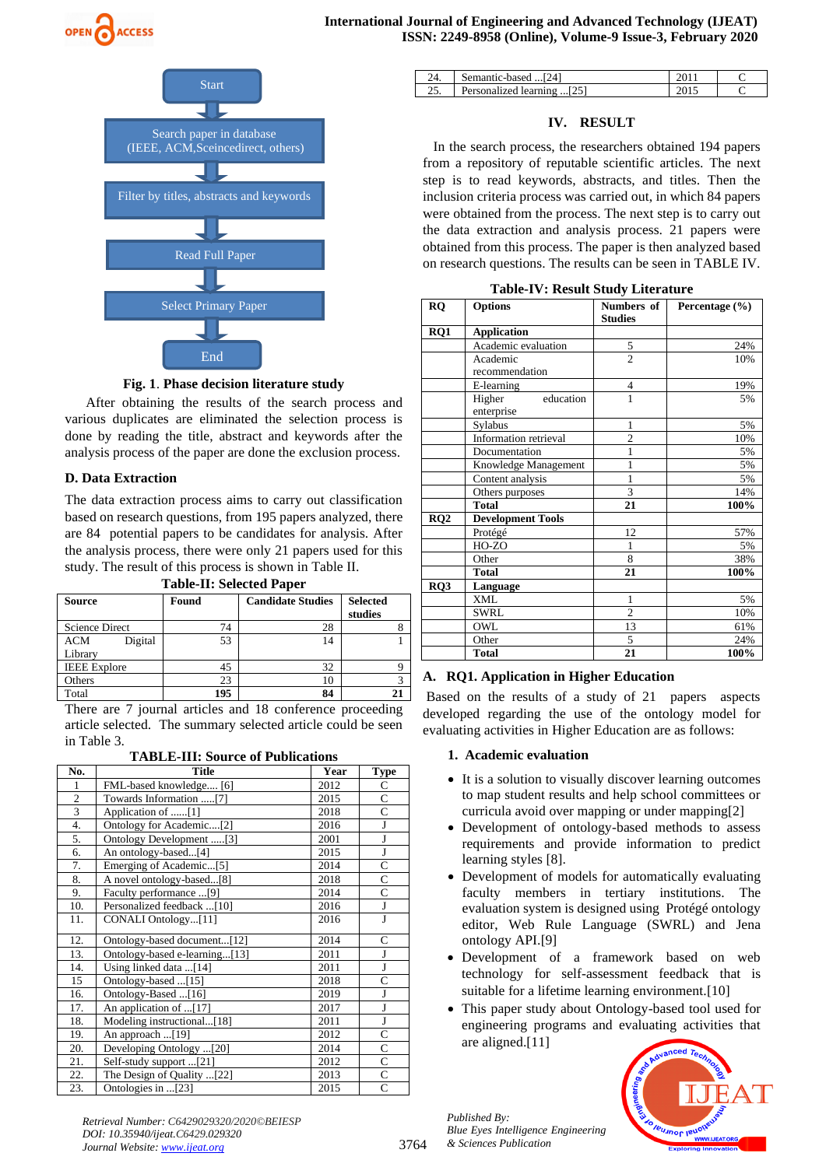





#### **Fig. 1**. **Phase decision literature study**

 After obtaining the results of the search process and various duplicates are eliminated the selection process is done by reading the title, abstract and keywords after the analysis process of the paper are done the exclusion process.

#### **D. Data Extraction**

The data extraction process aims to carry out classification based on research questions, from 195 papers analyzed, there are 84 potential papers to be candidates for analysis. After the analysis process, there were only 21 papers used for this study. The result of this process is shown in Table II.

**Table-II: Selected Paper**

| <b>Source</b>         | Found | <b>Candidate Studies</b> | <b>Selected</b><br>studies |
|-----------------------|-------|--------------------------|----------------------------|
| <b>Science Direct</b> | 74    | 28                       |                            |
| <b>ACM</b><br>Digital | 53    | 14                       |                            |
| Library               |       |                          |                            |
| <b>IEEE</b> Explore   | 45    | 32                       |                            |
| Others                | 23    | 10                       |                            |
| Total                 | 195   | 84                       |                            |

There are 7 journal articles and 18 conference proceeding article selected. The summary selected article could be seen in Table 3.

| <b>TABLE-III: Source of Publications</b> |  |
|------------------------------------------|--|
|------------------------------------------|--|

| No.            | <b>Title</b>                  | Year | <b>Type</b>    |
|----------------|-------------------------------|------|----------------|
| 1              | FML-based knowledge [6]       | 2012 | С              |
| $\mathfrak{2}$ | Towards Information [7]       | 2015 | C              |
| 3              | Application of [1]            | 2018 | C              |
| 4.             | Ontology for Academic[2]      | 2016 | J              |
| 5.             | Ontology Development [3]      | 2001 | J              |
| 6.             | An ontology-based[4]          | 2015 | J              |
| 7.             | Emerging of Academic[5]       | 2014 | C              |
| 8.             | A novel ontology-based[8]     | 2018 | C              |
| 9.             | Faculty performance [9]       | 2014 | C              |
| 10.            | Personalized feedback [10]    | 2016 | J              |
| 11.            | CONALI Ontology[11]           | 2016 | J              |
| 12.            | Ontology-based document[12]   | 2014 | C              |
| 13.            | Ontology-based e-learning[13] | 2011 | J              |
| 14.            | Using linked data [14]        | 2011 | J              |
| 15             | Ontology-based [15]           | 2018 | $\overline{C}$ |
| 16.            | Ontology-Based [16]           | 2019 | J              |
| 17.            | An application of [17]        | 2017 | J              |
| 18.            | Modeling instructional[18]    | 2011 | J              |
| 19.            | An approach [19]              | 2012 | C              |
| 20.            | Developing Ontology [20]      | 2014 | $\overline{C}$ |
| 21.            | Self-study support [21]       | 2012 | $\overline{C}$ |
| 22.            | The Design of Quality [22]    | 2013 | $\overline{C}$ |
| 23.            | Ontologies in [23]            | 2015 | $\overline{C}$ |

|     | Semantic-based  [24]       |  |
|-----|----------------------------|--|
| . ب | Personalized learning [25] |  |

#### **IV. RESULT**

 In the search process, the researchers obtained 194 papers from a repository of reputable scientific articles. The next step is to read keywords, abstracts, and titles. Then the inclusion criteria process was carried out, in which 84 papers were obtained from the process. The next step is to carry out the data extraction and analysis process. 21 papers were obtained from this process. The paper is then analyzed based on research questions. The results can be seen in TABLE IV.

| <b>RQ</b> | <b>Options</b>                    | Numbers of<br><b>Studies</b> | Percentage (%) |
|-----------|-----------------------------------|------------------------------|----------------|
| RQ1       | <b>Application</b>                |                              |                |
|           | Academic evaluation               |                              | 24%            |
|           | Academic<br>recommendation        | $rac{5}{2}$                  | 10%            |
|           | E-learning                        | 4                            | 19%            |
|           | education<br>Higher<br>enterprise | $\mathbf{1}$                 | 5%             |
|           | Sylabus                           | $\mathbf{1}$                 | 5%             |
|           | Information retrieval             | $\overline{c}$               | 10%            |
|           | Documentation                     | 1                            | 5%             |
|           | Knowledge Management              | 1                            | 5%             |
|           | Content analysis                  | 1                            | 5%             |
|           | Others purposes                   | 3                            | 14%            |
|           | <b>Total</b>                      | 21                           | 100%           |
| RQ2       | <b>Development Tools</b>          |                              |                |
|           | Protégé                           | 12                           | 57%            |
|           | HO-ZO                             | 1                            | 5%             |
|           | Other                             | 8                            | 38%            |
|           | <b>Total</b>                      | 21                           | 100%           |
| RO3       | Language                          |                              |                |
|           | <b>XML</b>                        | $\mathbf{1}$                 | 5%             |
|           | <b>SWRL</b>                       | $\overline{2}$               | 10%            |
|           | OWL                               | 13                           | 61%            |
|           | Other                             | 5                            | 24%            |
|           | <b>Total</b>                      | 21                           | 100%           |

#### **Table-IV: Result Study Literature**

## **A. RQ1. Application in Higher Education**

Based on the results of a study of 21 papers aspects developed regarding the use of the ontology model for evaluating activities in Higher Education are as follows:

#### **1. Academic evaluation**

- It is a solution to visually discover learning outcomes to map student results and help school committees or curricula avoid over mapping or under mapping[2]
- Development of ontology-based methods to assess requirements and provide information to predict learning styles [8].
- Development of models for automatically evaluating faculty members in tertiary institutions. The evaluation system is designed using Protégé ontology editor, Web Rule Language (SWRL) and Jena ontology API.[9]
- Development of a framework based on web technology for self-assessment feedback that is suitable for a lifetime learning environment.<sup>[10]</sup>
- This paper study about Ontology-based tool used for engineering programs and evaluating activities that are aligned.[11]



*Retrieval Number: C6429029320/2020©BEIESP DOI: 10.35940/ijeat.C6429.029320 Journal Website[: www.ijeat.org](http://www.ijeat.org/)*

*Published By: Blue Eyes Intelligence Engineering & Sciences Publication*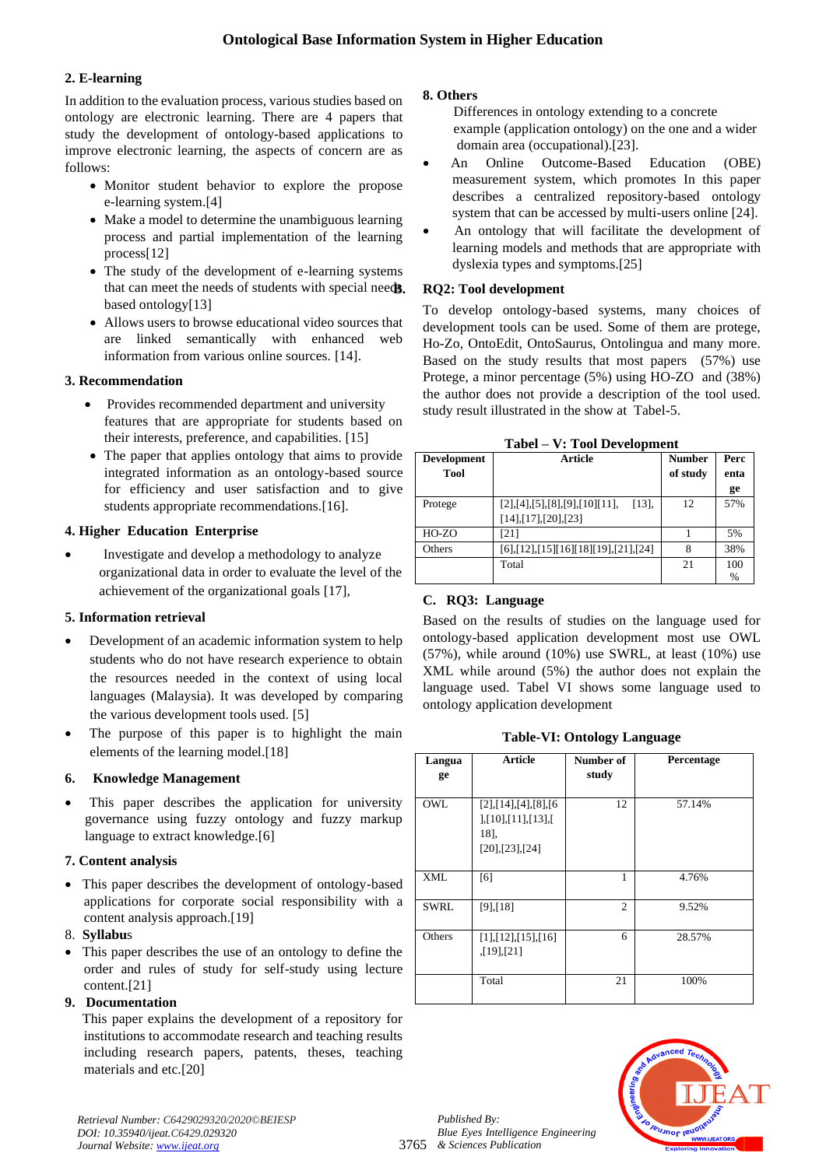## **2. E-learning**

In addition to the evaluation process, various studies based on ontology are electronic learning. There are 4 papers that study the development of ontology-based applications to improve electronic learning, the aspects of concern are as follows:

- Monitor student behavior to explore the propose e-learning system.[4]
- Make a model to determine the unambiguous learning process and partial implementation of the learning process[12]
- The study of the development of e-learning systems that can meet the needs of students with special needs. based ontology[13]
- Allows users to browse educational video sources that are linked semantically with enhanced web information from various online sources. [14].

## **3. Recommendation**

- Provides recommended department and university features that are appropriate for students based on their interests, preference, and capabilities. [15]
- The paper that applies ontology that aims to provide integrated information as an ontology-based source for efficiency and user satisfaction and to give students appropriate recommendations.[16].

## **4. Higher Education Enterprise**

• Investigate and develop a methodology to analyze organizational data in order to evaluate the level of the achievement of the organizational goals [17],

## **5. Information retrieval**

- Development of an academic information system to help students who do not have research experience to obtain the resources needed in the context of using local languages (Malaysia). It was developed by comparing the various development tools used. [5]
- The purpose of this paper is to highlight the main elements of the learning model.[18]

## **6. Knowledge Management**

• This paper describes the application for university governance using fuzzy ontology and fuzzy markup language to extract knowledge.[6]

## **7. Content analysis**

• This paper describes the development of ontology-based applications for corporate social responsibility with a content analysis approach.[19]

## 8. **Syllabu**s

• This paper describes the use of an ontology to define the order and rules of study for self-study using lecture content.[21]

## **9. Documentation**

 This paper explains the development of a repository for institutions to accommodate research and teaching results including research papers, patents, theses, teaching materials and etc.[20]

## **8. Others**

 Differences in ontology extending to a concrete example (application ontology) on the one and a wider domain area (occupational).[23].

- An Online Outcome-Based Education (OBE) measurement system, which promotes In this paper describes a centralized repository-based ontology system that can be accessed by multi-users online [24].
- An ontology that will facilitate the development of learning models and methods that are appropriate with dyslexia types and symptoms.[25]

## **B. RQ2: Tool development**

To develop ontology-based systems, many choices of development tools can be used. Some of them are protege, Ho-Zo, OntoEdit, OntoSaurus, Ontolingua and many more. Based on the study results that most papers (57%) use Protege, a minor percentage (5%) using HO-ZO and (38%) the author does not provide a description of the tool used. study result illustrated in the show at Tabel-5.

| ravci<br>v. 1 ooi Development |                                               |               |      |  |
|-------------------------------|-----------------------------------------------|---------------|------|--|
| <b>Development</b>            | Article                                       | <b>Number</b> | Perc |  |
| Tool                          |                                               | of study      | enta |  |
|                               |                                               |               | ge   |  |
| Protege                       | [2], [4], [5], [8], [9], [10][11],<br>[13]    | 12            | 57%  |  |
|                               | $[14]$ , $[17]$ , $[20]$ , $[23]$             |               |      |  |
| HO-ZO                         | [21]                                          |               | 5%   |  |
| Others                        | $[6]$ , [12], [15] [16] [18] [19], [21], [24] | 8             | 38%  |  |
|                               | Total                                         | 21            | 100  |  |
|                               |                                               |               | %    |  |

**Tabel – V: Tool Development**

## **C. RQ3: Language**

Based on the results of studies on the language used for ontology-based application development most use OWL (57%), while around (10%) use SWRL, at least (10%) use XML while around (5%) the author does not explain the language used. Tabel VI shows some language used to ontology application development

## **Table-VI: Ontology Language**

| Langua      | <b>Article</b>                                                       | Number of      | Percentage |
|-------------|----------------------------------------------------------------------|----------------|------------|
| ge          |                                                                      | study          |            |
| <b>OWL</b>  | [2],[14],[4],[8],[6]<br>],[10],[11],[13],[<br>18],<br>[20],[23],[24] | 12             | 57.14%     |
| <b>XML</b>  | [6]                                                                  | 1              | 4.76%      |
| <b>SWRL</b> | $[9]$ , [18]                                                         | $\overline{c}$ | 9.52%      |
| Others      | $[1]$ , $[12]$ , $[15]$ , $[16]$<br>$[19]$ , $[21]$                  | 6              | 28.57%     |
|             | Total                                                                | 21             | 100%       |

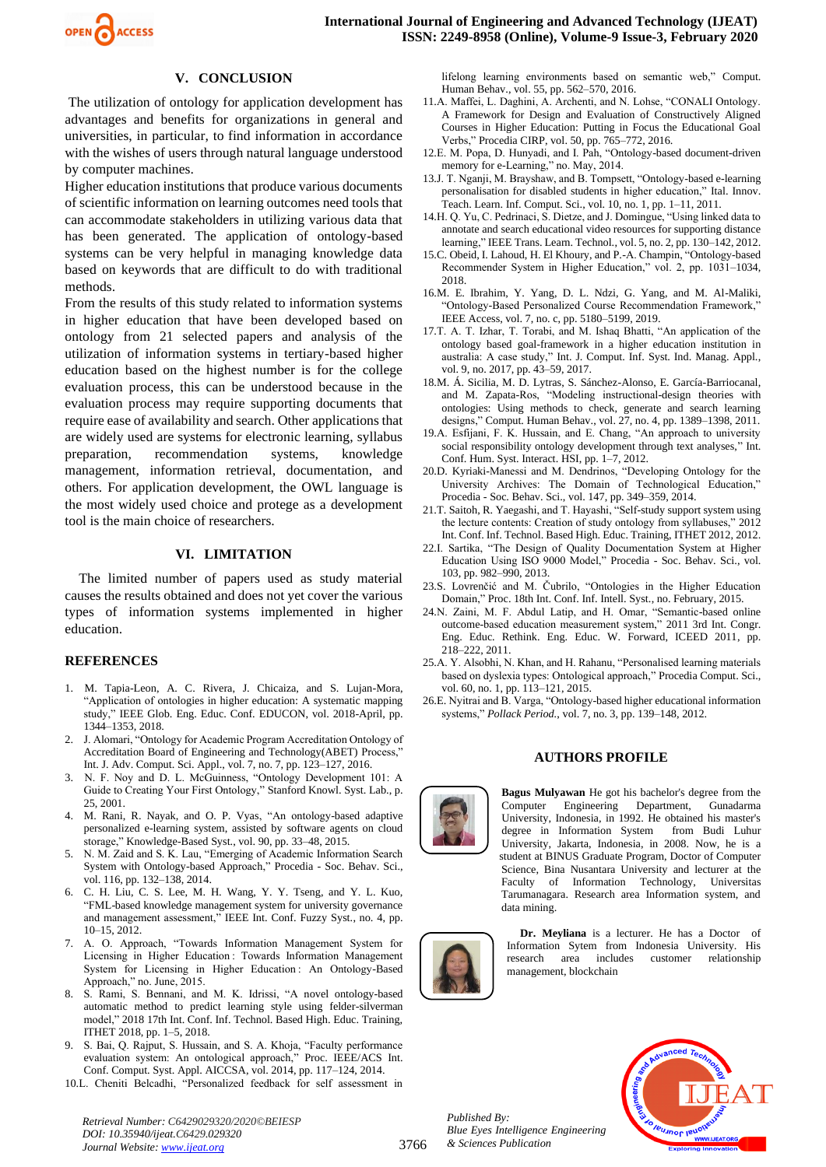

#### **V. CONCLUSION**

The utilization of ontology for application development has advantages and benefits for organizations in general and universities, in particular, to find information in accordance with the wishes of users through natural language understood by computer machines.

Higher education institutions that produce various documents of scientific information on learning outcomes need tools that can accommodate stakeholders in utilizing various data that has been generated. The application of ontology-based systems can be very helpful in managing knowledge data based on keywords that are difficult to do with traditional methods.

From the results of this study related to information systems in higher education that have been developed based on ontology from 21 selected papers and analysis of the utilization of information systems in tertiary-based higher education based on the highest number is for the college evaluation process, this can be understood because in the evaluation process may require supporting documents that require ease of availability and search. Other applications that are widely used are systems for electronic learning, syllabus preparation, recommendation systems, knowledge management, information retrieval, documentation, and others. For application development, the OWL language is the most widely used choice and protege as a development tool is the main choice of researchers.

#### **VI. LIMITATION**

The limited number of papers used as study material causes the results obtained and does not yet cover the various types of information systems implemented in higher education.

#### **REFERENCES**

- 1. M. Tapia-Leon, A. C. Rivera, J. Chicaiza, and S. Lujan-Mora, "Application of ontologies in higher education: A systematic mapping study," IEEE Glob. Eng. Educ. Conf. EDUCON, vol. 2018-April, pp. 1344–1353, 2018.
- 2. J. Alomari, "Ontology for Academic Program Accreditation Ontology of Accreditation Board of Engineering and Technology(ABET) Process," Int. J. Adv. Comput. Sci. Appl., vol. 7, no. 7, pp. 123–127, 2016.
- 3. N. F. Noy and D. L. McGuinness, "Ontology Development 101: A Guide to Creating Your First Ontology," Stanford Knowl. Syst. Lab., p. 25, 2001.
- 4. M. Rani, R. Nayak, and O. P. Vyas, "An ontology-based adaptive personalized e-learning system, assisted by software agents on cloud storage," Knowledge-Based Syst., vol. 90, pp. 33–48, 2015.
- 5. N. M. Zaid and S. K. Lau, "Emerging of Academic Information Search System with Ontology-based Approach," Procedia - Soc. Behav. Sci., vol. 116, pp. 132–138, 2014.
- 6. C. H. Liu, C. S. Lee, M. H. Wang, Y. Y. Tseng, and Y. L. Kuo, "FML-based knowledge management system for university governance and management assessment," IEEE Int. Conf. Fuzzy Syst., no. 4, pp. 10–15, 2012.
- 7. A. O. Approach, "Towards Information Management System for Licensing in Higher Education : Towards Information Management System for Licensing in Higher Education : An Ontology-Based Approach," no. June, 2015.
- 8. S. Rami, S. Bennani, and M. K. Idrissi, "A novel ontology-based automatic method to predict learning style using felder-silverman model," 2018 17th Int. Conf. Inf. Technol. Based High. Educ. Training, ITHET 2018, pp. 1–5, 2018.
- 9. S. Bai, Q. Rajput, S. Hussain, and S. A. Khoja, "Faculty performance evaluation system: An ontological approach," Proc. IEEE/ACS Int. Conf. Comput. Syst. Appl. AICCSA, vol. 2014, pp. 117–124, 2014.
- 10.L. Cheniti Belcadhi, "Personalized feedback for self assessment in

*Retrieval Number: C6429029320/2020©BEIESP DOI: 10.35940/ijeat.C6429.029320 Journal Website[: www.ijeat.org](http://www.ijeat.org/)*

lifelong learning environments based on semantic web," Comput. Human Behav., vol. 55, pp. 562–570, 2016.

- 11.A. Maffei, L. Daghini, A. Archenti, and N. Lohse, "CONALI Ontology. A Framework for Design and Evaluation of Constructively Aligned Courses in Higher Education: Putting in Focus the Educational Goal Verbs," Procedia CIRP, vol. 50, pp. 765–772, 2016.
- 12.E. M. Popa, D. Hunyadi, and I. Pah, "Ontology-based document-driven memory for e-Learning," no. May, 2014.
- 13.J. T. Nganji, M. Brayshaw, and B. Tompsett, "Ontology-based e-learning personalisation for disabled students in higher education," Ital. Innov. Teach. Learn. Inf. Comput. Sci., vol. 10, no. 1, pp. 1–11, 2011.
- 14.H. Q. Yu, C. Pedrinaci, S. Dietze, and J. Domingue, "Using linked data to annotate and search educational video resources for supporting distance learning," IEEE Trans. Learn. Technol., vol. 5, no. 2, pp. 130–142, 2012.
- 15.C. Obeid, I. Lahoud, H. El Khoury, and P.-A. Champin, "Ontology-based Recommender System in Higher Education," vol. 2, pp. 1031–1034, 2018.
- 16.M. E. Ibrahim, Y. Yang, D. L. Ndzi, G. Yang, and M. Al-Maliki, "Ontology-Based Personalized Course Recommendation Framework," IEEE Access, vol. 7, no. c, pp. 5180–5199, 2019.
- 17.T. A. T. Izhar, T. Torabi, and M. Ishaq Bhatti, "An application of the ontology based goal-framework in a higher education institution in australia: A case study," Int. J. Comput. Inf. Syst. Ind. Manag. Appl., vol. 9, no. 2017, pp. 43–59, 2017.
- 18.M. Á. Sicilia, M. D. Lytras, S. Sánchez-Alonso, E. García-Barriocanal, and M. Zapata-Ros, "Modeling instructional-design theories with ontologies: Using methods to check, generate and search learning designs," Comput. Human Behav., vol. 27, no. 4, pp. 1389–1398, 2011.
- 19.A. Esfijani, F. K. Hussain, and E. Chang, "An approach to university social responsibility ontology development through text analyses," Int. Conf. Hum. Syst. Interact. HSI, pp. 1–7, 2012.
- 20.D. Kyriaki-Manessi and M. Dendrinos, "Developing Ontology for the University Archives: The Domain of Technological Education," Procedia - Soc. Behav. Sci., vol. 147, pp. 349–359, 2014.
- 21.T. Saitoh, R. Yaegashi, and T. Hayashi, "Self-study support system using the lecture contents: Creation of study ontology from syllabuses," 2012 Int. Conf. Inf. Technol. Based High. Educ. Training, ITHET 2012, 2012.
- 22.I. Sartika, "The Design of Quality Documentation System at Higher Education Using ISO 9000 Model," Procedia - Soc. Behav. Sci., vol. 103, pp. 982–990, 2013.
- 23.S. Lovrenčić and M. Čubrilo, "Ontologies in the Higher Education Domain," Proc. 18th Int. Conf. Inf. Intell. Syst., no. February, 2015.
- 24.N. Zaini, M. F. Abdul Latip, and H. Omar, "Semantic-based online outcome-based education measurement system," 2011 3rd Int. Congr. Eng. Educ. Rethink. Eng. Educ. W. Forward, ICEED 2011, pp. 218–222, 2011.
- 25.A. Y. Alsobhi, N. Khan, and H. Rahanu, "Personalised learning materials based on dyslexia types: Ontological approach," Procedia Comput. Sci., vol. 60, no. 1, pp. 113–121, 2015.
- 26.E. Nyitrai and B. Varga, "Ontology-based higher educational information systems," *Pollack Period.*, vol. 7, no. 3, pp. 139–148, 2012.

#### **AUTHORS PROFILE**



**Bagus Mulyawan** He got his bachelor's degree from the Computer Engineering Department, Gunadarma University, Indonesia, in 1992. He obtained his master's degree in Information System from Budi Luhur University, Jakarta, Indonesia, in 2008. Now, he is a student at BINUS Graduate Program, Doctor of Computer Science, Bina Nusantara University and lecturer at the Faculty of Information Technology, Universitas Tarumanagara. Research area Information system, and data mining.

**Dr. Meyliana** is a lecturer. He has a Doctor of Information Sytem from Indonesia University. His research area includes customer relationship management, blockchain